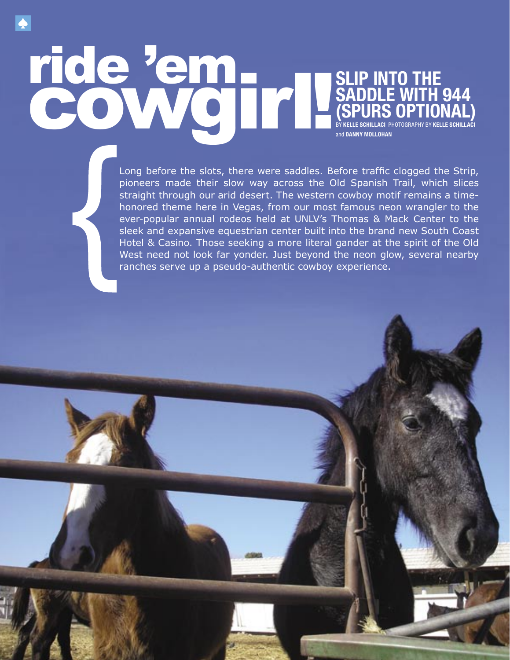#### ride 'em<br>Cowgirl! - **- 1990** and the contract .<br>Nati IDLE WHI  $\mathbf{F}$ SADDLE SADDLE <u> 14 M</u> - <u>and the set of the set of the set of the set of the set of the set of the set of the set of the set of the set of the set of the set of the set of the set of the set of the set of the set of the set of the set of the set </u> **SLIP INTO THE SADDLE WITH 944 (SPURS OPTIONAL)** BY **KELLE SCHILLACI** PHOTOGRAPHY BY **KELLE SCHILLACI**  and **DANNY MOLLOHAN**

1999 B

٦ ٠

an an

- 3 k. -

Long before the slots, there were saddles. Before traffic clogged the Strip, pioneers made their slow way across the Old Spanish Trail, which slices straight through our arid desert. The western cowboy motif remains a timehonored theme here in Vegas, from our most famous neon wrangler to the ever-popular annual rodeos held at UNLV's Thomas & Mack Center to the sleek and expansive equestrian center built into the brand new South Coast Hotel & Casino. Those seeking a more literal gander at the spirit of the Old West need not look far yonder. Just beyond the neon glow, several nearby ranches serve up a pseudo-authentic cowboy experience.